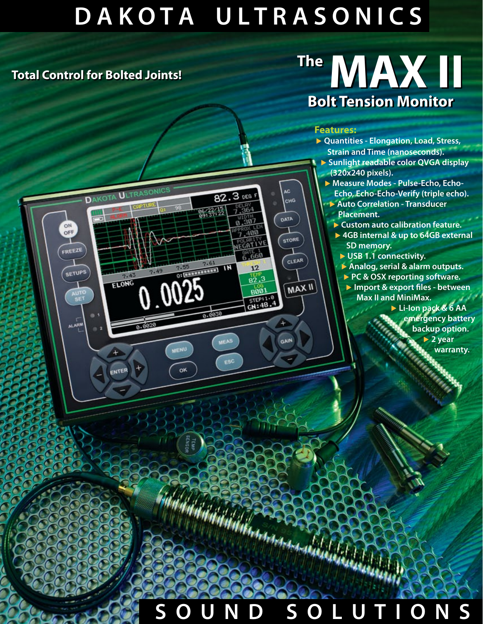## **D A K O T A U L T R A S O N I C S**

82.3 DEG F

7.61  $\frac{7.61}{1 \cdot N}$ 

0.0030

**MEAS** 

ESC

 $7.364$ 

 $0.307$ 

7.400

NEGATIV

6.660

 $12$ 

 $82.3$ 

**BOO1** 

STEP:1.0

AC. CHG

DATA

STORE

GAIN

CLEAR

**MAX II** 

### **Total Control for Bolted Joints! Total Control for Bolted Joints!**

ON<br>OFF

FREEZE

**SETUPS** 

AUTO

**ALARN** 

DAKOTA ULTRASONICS

ELONG

ENTER

7.49

0025

MENU

ok

# The MAX III **Bolt Tension Monitor Bolt Tension Monitor**

#### **Features:**

- ▶ **Quantities Elongation, Load, Stress, Strain and Time (nanoseconds).** ▶ **Sunlight readable color QVGA display (320x240 pixels).** ▶ **Measure Modes - Pulse-Echo, Echo-**
	- **Echo, Echo-Echo-Verify (triple echo).** ▶ **Auto Correlation - Transducer Placement.**
		- ▶ **Custom auto calibration feature.**
		- ▶ **4GB internal & up to 64GB external SD memory.**
		- ▶ **USB 1.1 connectivity.**
		- ▶ **Analog, serial & alarm outputs.**
		- ▶ **PC & OSX reporting software.**
		- ▶ **Import & export files between Max II and MiniMax.**
			- ▶ **Li-Ion pack & 6 AA emergency battery backup option.**

▶ **2 year**

**warranty.** 

## **S O U N D S O L U T I O N S**

Haranger and Males I